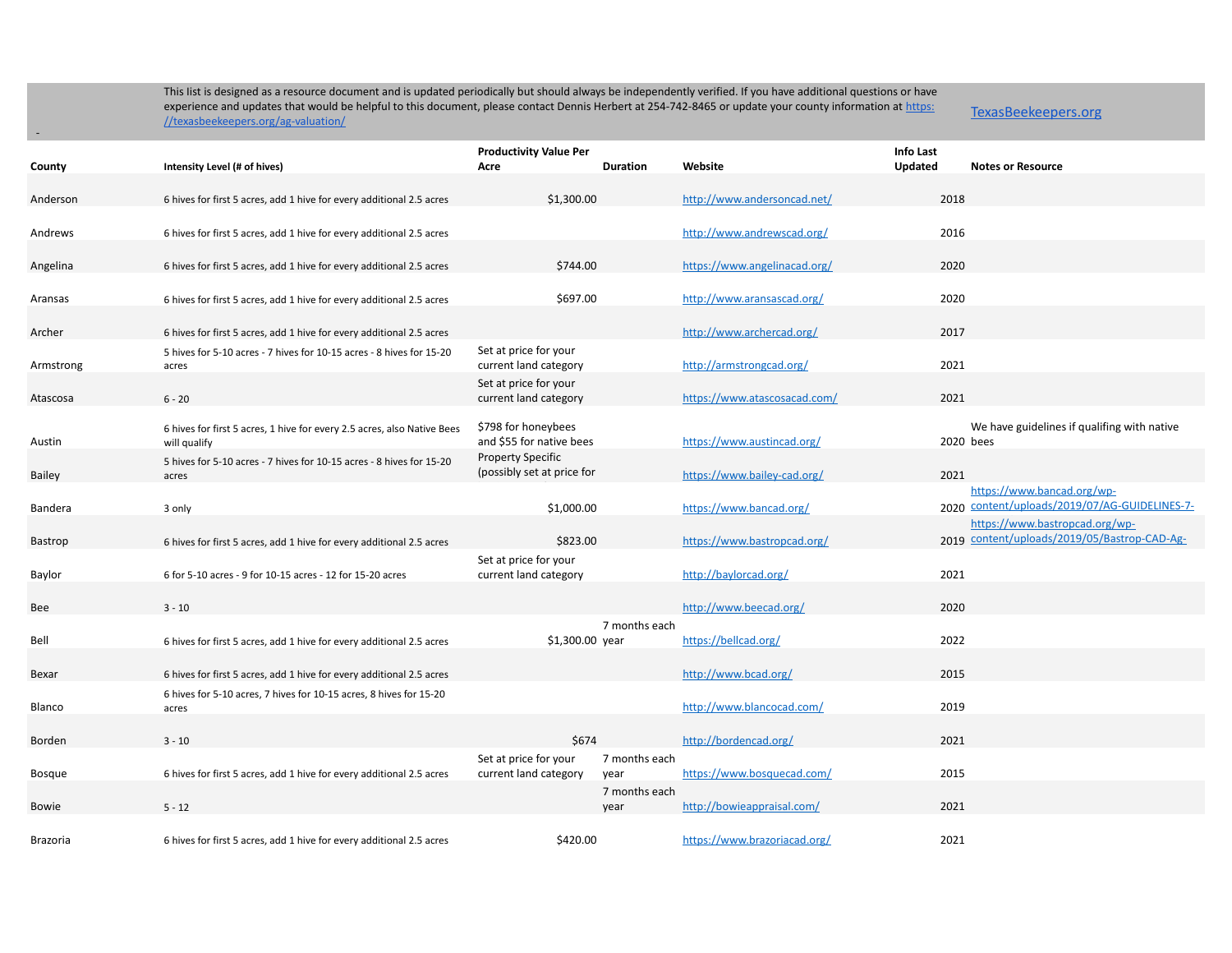TexasBeekeepers.org

|                 |                                                                               | <b>Productivity Value Per</b>                   |                       | <b>Info Last</b>             |         |                                                                                |
|-----------------|-------------------------------------------------------------------------------|-------------------------------------------------|-----------------------|------------------------------|---------|--------------------------------------------------------------------------------|
| County          | Intensity Level (# of hives)                                                  | Acre                                            | Duration              | Website                      | Updated | <b>Notes or Resource</b>                                                       |
| Anderson        | 6 hives for first 5 acres, add 1 hive for every additional 2.5 acres          | \$1,300.00                                      |                       | http://www.andersoncad.net/  | 2018    |                                                                                |
| Andrews         | 6 hives for first 5 acres, add 1 hive for every additional 2.5 acres          |                                                 |                       | http://www.andrewscad.org/   | 2016    |                                                                                |
| Angelina        | 6 hives for first 5 acres, add 1 hive for every additional 2.5 acres          | \$744.00                                        |                       | https://www.angelinacad.org/ | 2020    |                                                                                |
|                 |                                                                               |                                                 |                       |                              | 2020    |                                                                                |
| Aransas         | 6 hives for first 5 acres, add 1 hive for every additional 2.5 acres          | \$697.00                                        |                       | http://www.aransascad.org/   |         |                                                                                |
| Archer          | 6 hives for first 5 acres, add 1 hive for every additional 2.5 acres          |                                                 |                       | http://www.archercad.org/    | 2017    |                                                                                |
| Armstrong       | 5 hives for 5-10 acres - 7 hives for 10-15 acres - 8 hives for 15-20<br>acres | Set at price for your<br>current land category  |                       | http://armstrongcad.org/     | 2021    |                                                                                |
| Atascosa        | $6 - 20$                                                                      | Set at price for your<br>current land category  |                       | https://www.atascosacad.com/ | 2021    |                                                                                |
|                 |                                                                               |                                                 |                       |                              |         |                                                                                |
| Austin          | 6 hives for first 5 acres, 1 hive for every 2.5 acres, also Native Bees       | \$798 for honeybees<br>and \$55 for native bees |                       | https://www.austincad.org/   |         | We have guidelines if qualifing with native<br>2020 bees                       |
|                 | will qualify                                                                  | <b>Property Specific</b>                        |                       |                              |         |                                                                                |
| <b>Bailey</b>   | 5 hives for 5-10 acres - 7 hives for 10-15 acres - 8 hives for 15-20<br>acres | (possibly set at price for                      |                       | https://www.bailey-cad.org/  | 2021    |                                                                                |
| Bandera         | 3 only                                                                        | \$1,000.00                                      |                       | https://www.bancad.org/      |         | https://www.bancad.org/wp-<br>2020 content/uploads/2019/07/AG-GUIDELINES-7-    |
| Bastrop         | 6 hives for first 5 acres, add 1 hive for every additional 2.5 acres          | \$823.00                                        |                       | https://www.bastropcad.org/  |         | https://www.bastropcad.org/wp-<br>2019 content/uploads/2019/05/Bastrop-CAD-Ag- |
| Baylor          | 6 for 5-10 acres - 9 for 10-15 acres - 12 for 15-20 acres                     | Set at price for your<br>current land category  |                       | http://baylorcad.org/        | 2021    |                                                                                |
|                 |                                                                               |                                                 |                       |                              |         |                                                                                |
| Bee             | $3 - 10$                                                                      |                                                 |                       | http://www.beecad.org/       | 2020    |                                                                                |
|                 |                                                                               |                                                 | 7 months each         |                              |         |                                                                                |
| Bell            | 6 hives for first 5 acres, add 1 hive for every additional 2.5 acres          | \$1,300.00 year                                 |                       | https://bellcad.org/         | 2022    |                                                                                |
| Bexar           | 6 hives for first 5 acres, add 1 hive for every additional 2.5 acres          |                                                 |                       | http://www.bcad.org/         | 2015    |                                                                                |
| Blanco          | 6 hives for 5-10 acres, 7 hives for 10-15 acres, 8 hives for 15-20<br>acres   |                                                 |                       | http://www.blancocad.com/    | 2019    |                                                                                |
|                 |                                                                               |                                                 |                       |                              |         |                                                                                |
| Borden          | $3 - 10$                                                                      | \$674                                           |                       | http://bordencad.org/        | 2021    |                                                                                |
| Bosque          | 6 hives for first 5 acres, add 1 hive for every additional 2.5 acres          | Set at price for your<br>current land category  | 7 months each<br>year | https://www.bosquecad.com/   | 2015    |                                                                                |
| Bowie           | $5 - 12$                                                                      |                                                 | 7 months each<br>year | http://bowieappraisal.com/   | 2021    |                                                                                |
| <b>Brazoria</b> | 6 hives for first 5 acres, add 1 hive for every additional 2.5 acres          | \$420.00                                        |                       | https://www.brazoriacad.org/ | 2021    |                                                                                |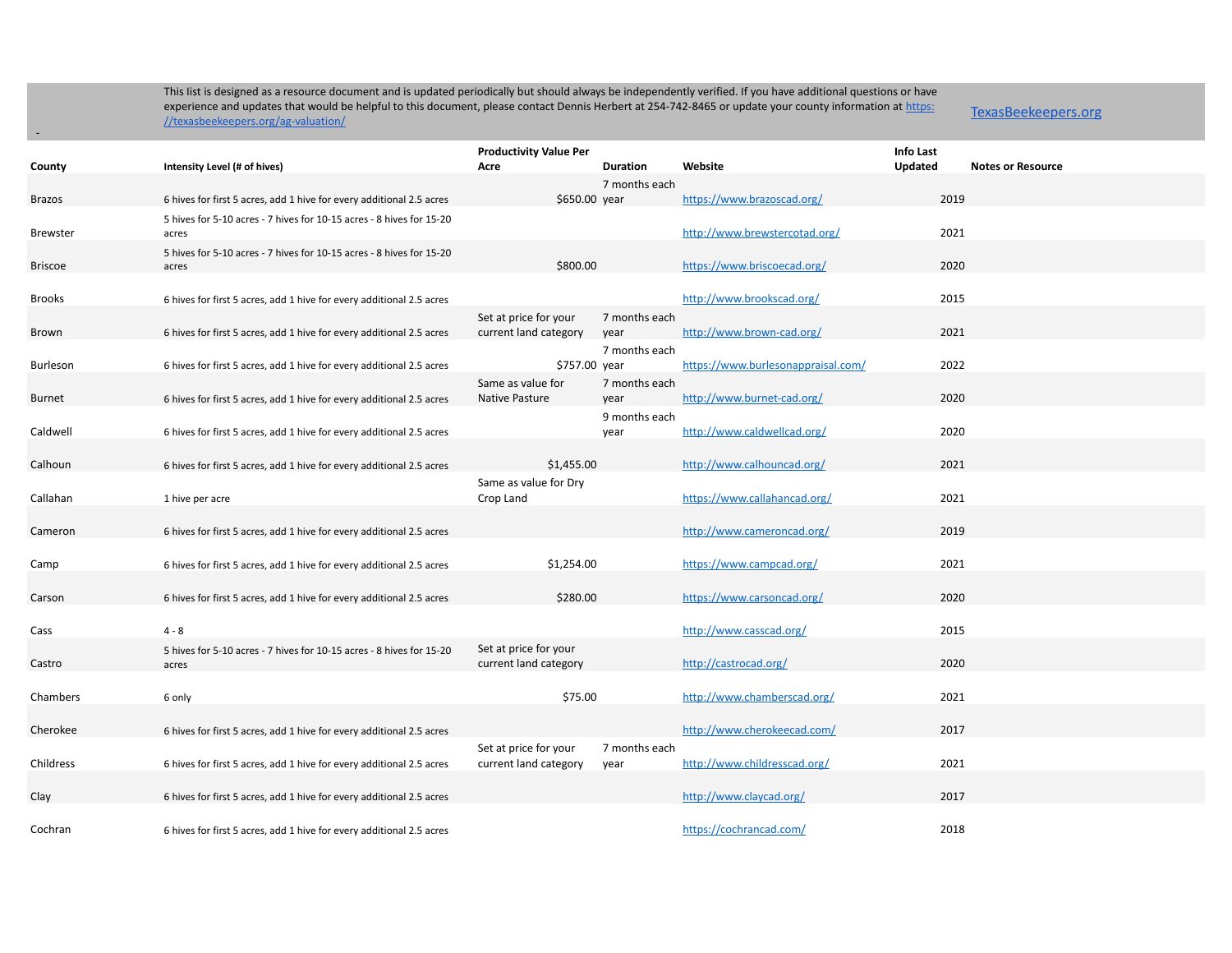-

|                 |                                                                      | <b>Productivity Value Per</b> |                 |                                    | <b>Info Last</b> |                          |
|-----------------|----------------------------------------------------------------------|-------------------------------|-----------------|------------------------------------|------------------|--------------------------|
| County          | Intensity Level (# of hives)                                         | Acre                          | <b>Duration</b> | Website                            | <b>Updated</b>   | <b>Notes or Resource</b> |
|                 |                                                                      |                               | 7 months each   |                                    |                  |                          |
| <b>Brazos</b>   | 6 hives for first 5 acres, add 1 hive for every additional 2.5 acres | \$650.00 year                 |                 | https://www.brazoscad.org/         | 2019             |                          |
|                 | 5 hives for 5-10 acres - 7 hives for 10-15 acres - 8 hives for 15-20 |                               |                 |                                    |                  |                          |
| <b>Brewster</b> | acres                                                                |                               |                 | http://www.brewstercotad.org/      | 2021             |                          |
|                 | 5 hives for 5-10 acres - 7 hives for 10-15 acres - 8 hives for 15-20 |                               |                 |                                    |                  |                          |
| <b>Briscoe</b>  | acres                                                                | \$800.00                      |                 | https://www.briscoecad.org/        | 2020             |                          |
|                 |                                                                      |                               |                 |                                    |                  |                          |
| <b>Brooks</b>   | 6 hives for first 5 acres, add 1 hive for every additional 2.5 acres |                               |                 | http://www.brookscad.org/          | 2015             |                          |
|                 |                                                                      | Set at price for your         | 7 months each   |                                    | 2021             |                          |
| <b>Brown</b>    | 6 hives for first 5 acres, add 1 hive for every additional 2.5 acres | current land category         | year            | http://www.brown-cad.org/          |                  |                          |
| <b>Burleson</b> | 6 hives for first 5 acres, add 1 hive for every additional 2.5 acres | \$757.00 year                 | 7 months each   | https://www.burlesonappraisal.com/ | 2022             |                          |
|                 |                                                                      | Same as value for             | 7 months each   |                                    |                  |                          |
| Burnet          | 6 hives for first 5 acres, add 1 hive for every additional 2.5 acres | <b>Native Pasture</b>         | year            | http://www.burnet-cad.org/         | 2020             |                          |
|                 |                                                                      |                               | 9 months each   |                                    |                  |                          |
| Caldwell        | 6 hives for first 5 acres, add 1 hive for every additional 2.5 acres |                               | year            | http://www.caldwellcad.org/        | 2020             |                          |
|                 |                                                                      |                               |                 |                                    |                  |                          |
| Calhoun         | 6 hives for first 5 acres, add 1 hive for every additional 2.5 acres | \$1,455.00                    |                 | http://www.calhouncad.org/         | 2021             |                          |
|                 |                                                                      | Same as value for Dry         |                 |                                    |                  |                          |
| Callahan        | 1 hive per acre                                                      | Crop Land                     |                 | https://www.callahancad.org/       | 2021             |                          |
|                 |                                                                      |                               |                 |                                    |                  |                          |
| Cameron         | 6 hives for first 5 acres, add 1 hive for every additional 2.5 acres |                               |                 | http://www.cameroncad.org/         | 2019             |                          |
|                 |                                                                      |                               |                 |                                    |                  |                          |
| Camp            | 6 hives for first 5 acres, add 1 hive for every additional 2.5 acres | \$1,254.00                    |                 | https://www.campcad.org/           | 2021             |                          |
|                 |                                                                      |                               |                 |                                    |                  |                          |
| Carson          | 6 hives for first 5 acres, add 1 hive for every additional 2.5 acres | \$280.00                      |                 | https://www.carsoncad.org/         | 2020             |                          |
|                 |                                                                      |                               |                 |                                    |                  |                          |
| Cass            | $4 - 8$                                                              |                               |                 | http://www.casscad.org/            | 2015             |                          |
|                 | 5 hives for 5-10 acres - 7 hives for 10-15 acres - 8 hives for 15-20 | Set at price for your         |                 |                                    | 2020             |                          |
| Castro          | acres                                                                | current land category         |                 | http://castrocad.org/              |                  |                          |
| Chambers        | 6 only                                                               | \$75.00                       |                 | http://www.chamberscad.org/        | 2021             |                          |
|                 |                                                                      |                               |                 |                                    |                  |                          |
| Cherokee        | 6 hives for first 5 acres, add 1 hive for every additional 2.5 acres |                               |                 | http://www.cherokeecad.com/        | 2017             |                          |
|                 |                                                                      | Set at price for your         | 7 months each   |                                    |                  |                          |
| Childress       | 6 hives for first 5 acres, add 1 hive for every additional 2.5 acres | current land category         | year            | http://www.childresscad.org/       | 2021             |                          |
|                 |                                                                      |                               |                 |                                    |                  |                          |
| Clay            | 6 hives for first 5 acres, add 1 hive for every additional 2.5 acres |                               |                 | http://www.claycad.org/            | 2017             |                          |
|                 |                                                                      |                               |                 |                                    |                  |                          |
| Cochran         | 6 hives for first 5 acres, add 1 hive for every additional 2.5 acres |                               |                 | https://cochrancad.com/            | 2018             |                          |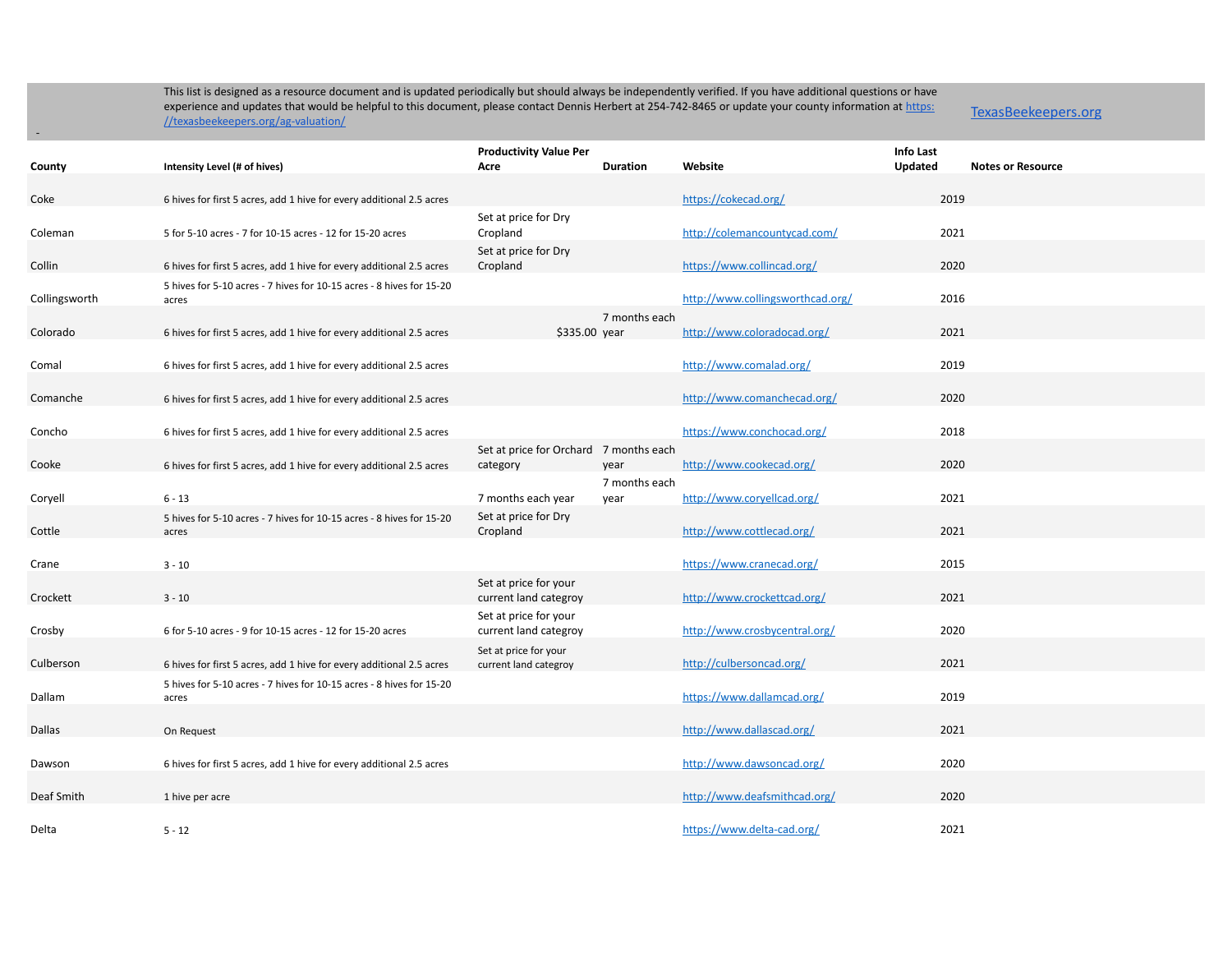-

|               |                                                                               | <b>Productivity Value Per</b>                      |                 |                                  | Info Last |                          |
|---------------|-------------------------------------------------------------------------------|----------------------------------------------------|-----------------|----------------------------------|-----------|--------------------------|
| County        | Intensity Level (# of hives)                                                  | Acre                                               | <b>Duration</b> | Website                          | Updated   | <b>Notes or Resource</b> |
| Coke          | 6 hives for first 5 acres, add 1 hive for every additional 2.5 acres          |                                                    |                 | https://cokecad.org/             | 2019      |                          |
| Coleman       | 5 for 5-10 acres - 7 for 10-15 acres - 12 for 15-20 acres                     | Set at price for Dry<br>Cropland                   |                 | http://colemancountycad.com/     | 2021      |                          |
| Collin        | 6 hives for first 5 acres, add 1 hive for every additional 2.5 acres          | Set at price for Dry<br>Cropland                   |                 | https://www.collincad.org/       | 2020      |                          |
| Collingsworth | 5 hives for 5-10 acres - 7 hives for 10-15 acres - 8 hives for 15-20<br>acres |                                                    |                 | http://www.collingsworthcad.org/ | 2016      |                          |
|               |                                                                               |                                                    | 7 months each   |                                  |           |                          |
| Colorado      | 6 hives for first 5 acres, add 1 hive for every additional 2.5 acres          | \$335.00 year                                      |                 | http://www.coloradocad.org/      | 2021      |                          |
| Comal         | 6 hives for first 5 acres, add 1 hive for every additional 2.5 acres          |                                                    |                 | http://www.comalad.org/          | 2019      |                          |
| Comanche      | 6 hives for first 5 acres, add 1 hive for every additional 2.5 acres          |                                                    |                 | http://www.comanchecad.org/      | 2020      |                          |
| Concho        | 6 hives for first 5 acres, add 1 hive for every additional 2.5 acres          |                                                    |                 | https://www.conchocad.org/       | 2018      |                          |
| Cooke         | 6 hives for first 5 acres, add 1 hive for every additional 2.5 acres          | Set at price for Orchard 7 months each<br>category | year            | http://www.cookecad.org/         | 2020      |                          |
|               |                                                                               |                                                    | 7 months each   |                                  |           |                          |
| Coryell       | $6 - 13$                                                                      | 7 months each year                                 | year            | http://www.coryellcad.org/       | 2021      |                          |
| Cottle        | 5 hives for 5-10 acres - 7 hives for 10-15 acres - 8 hives for 15-20<br>acres | Set at price for Dry<br>Cropland                   |                 | http://www.cottlecad.org/        | 2021      |                          |
| Crane         | $3 - 10$                                                                      |                                                    |                 | https://www.cranecad.org/        | 2015      |                          |
| Crockett      | $3 - 10$                                                                      | Set at price for your<br>current land categroy     |                 | http://www.crockettcad.org/      | 2021      |                          |
| Crosby        | 6 for 5-10 acres - 9 for 10-15 acres - 12 for 15-20 acres                     | Set at price for your<br>current land categroy     |                 | http://www.crosbycentral.org/    | 2020      |                          |
| Culberson     | 6 hives for first 5 acres, add 1 hive for every additional 2.5 acres          | Set at price for your<br>current land categroy     |                 | http://culbersoncad.org/         | 2021      |                          |
|               | 5 hives for 5-10 acres - 7 hives for 10-15 acres - 8 hives for 15-20          |                                                    |                 |                                  |           |                          |
| Dallam        | acres                                                                         |                                                    |                 | https://www.dallamcad.org/       | 2019      |                          |
| Dallas        | On Request                                                                    |                                                    |                 | http://www.dallascad.org/        | 2021      |                          |
| Dawson        | 6 hives for first 5 acres, add 1 hive for every additional 2.5 acres          |                                                    |                 | http://www.dawsoncad.org/        | 2020      |                          |
| Deaf Smith    | 1 hive per acre                                                               |                                                    |                 | http://www.deafsmithcad.org/     | 2020      |                          |
| Delta         | $5 - 12$                                                                      |                                                    |                 | https://www.delta-cad.org/       | 2021      |                          |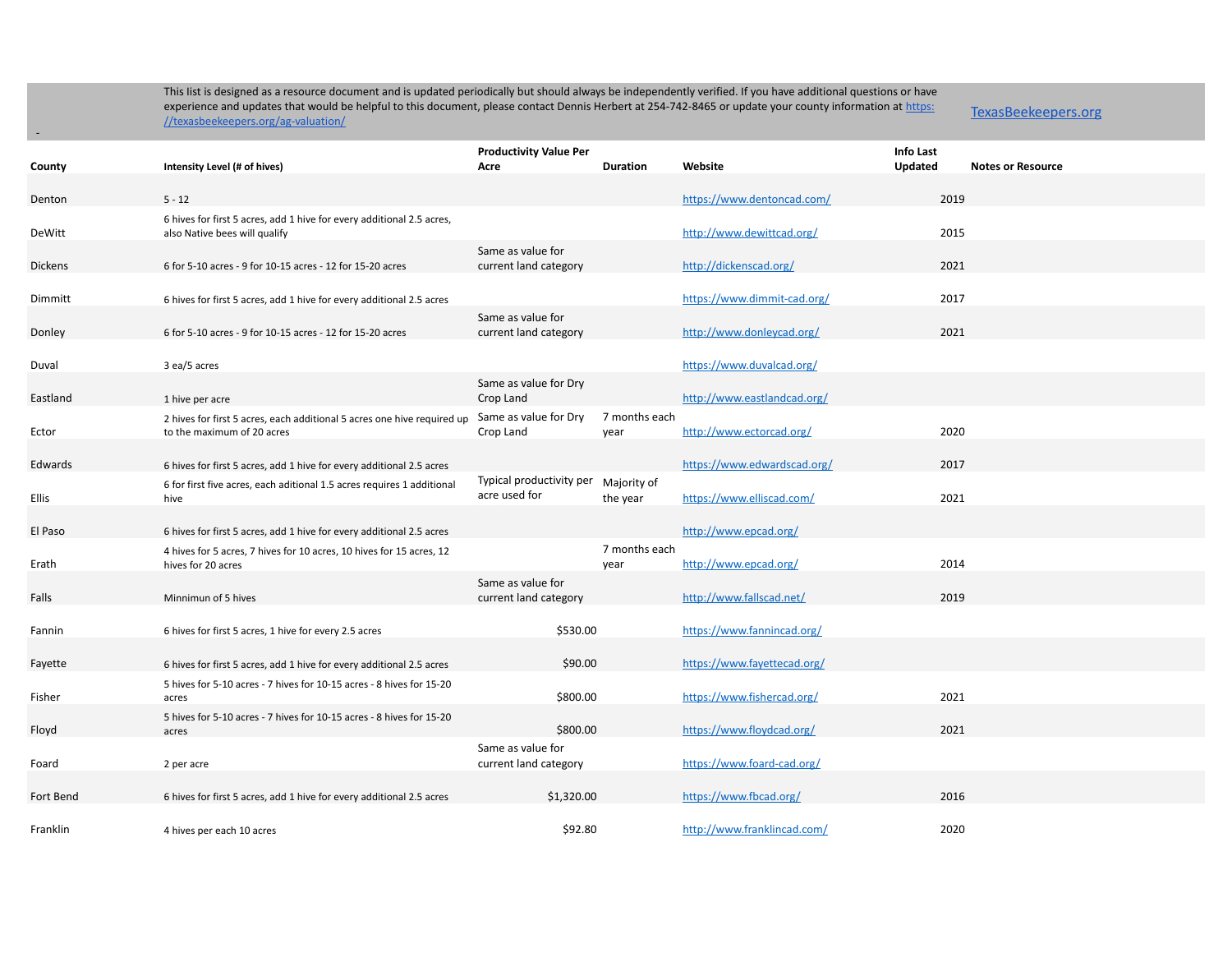-

|                |                                                                         | <b>Productivity Value Per</b>              |                 |                             | Info Last |                          |
|----------------|-------------------------------------------------------------------------|--------------------------------------------|-----------------|-----------------------------|-----------|--------------------------|
| County         | Intensity Level (# of hives)                                            | Acre                                       | <b>Duration</b> | Website                     | Updated   | <b>Notes or Resource</b> |
|                |                                                                         |                                            |                 |                             |           |                          |
| Denton         | $5 - 12$                                                                |                                            |                 | https://www.dentoncad.com/  | 2019      |                          |
|                | 6 hives for first 5 acres, add 1 hive for every additional 2.5 acres,   |                                            |                 |                             |           |                          |
| DeWitt         | also Native bees will qualify                                           |                                            |                 | http://www.dewittcad.org/   | 2015      |                          |
|                |                                                                         | Same as value for                          |                 |                             |           |                          |
| <b>Dickens</b> | 6 for 5-10 acres - 9 for 10-15 acres - 12 for 15-20 acres               | current land category                      |                 | http://dickenscad.org/      | 2021      |                          |
|                |                                                                         |                                            |                 |                             |           |                          |
| Dimmitt        | 6 hives for first 5 acres, add 1 hive for every additional 2.5 acres    |                                            |                 | https://www.dimmit-cad.org/ | 2017      |                          |
|                |                                                                         | Same as value for                          |                 |                             |           |                          |
| Donley         | 6 for 5-10 acres - 9 for 10-15 acres - 12 for 15-20 acres               | current land category                      |                 | http://www.donleycad.org/   | 2021      |                          |
|                |                                                                         |                                            |                 |                             |           |                          |
| Duval          | 3 ea/5 acres                                                            |                                            |                 | https://www.duvalcad.org/   |           |                          |
|                |                                                                         | Same as value for Dry                      |                 |                             |           |                          |
| Eastland       | 1 hive per acre                                                         | Crop Land                                  |                 | http://www.eastlandcad.org/ |           |                          |
|                | 2 hives for first 5 acres, each additional 5 acres one hive required up | Same as value for Dry                      | 7 months each   |                             |           |                          |
| Ector          | to the maximum of 20 acres                                              | Crop Land                                  | year            | http://www.ectorcad.org/    | 2020      |                          |
|                |                                                                         |                                            |                 |                             |           |                          |
| Edwards        | 6 hives for first 5 acres, add 1 hive for every additional 2.5 acres    |                                            |                 | https://www.edwardscad.org/ | 2017      |                          |
|                | 6 for first five acres, each aditional 1.5 acres requires 1 additional  | Typical productivity per<br>acre used for  | Majority of     |                             |           |                          |
| Ellis          | hive                                                                    |                                            | the year        | https://www.elliscad.com/   | 2021      |                          |
|                |                                                                         |                                            |                 |                             |           |                          |
| El Paso        | 6 hives for first 5 acres, add 1 hive for every additional 2.5 acres    |                                            |                 | http://www.epcad.org/       |           |                          |
|                | 4 hives for 5 acres, 7 hives for 10 acres, 10 hives for 15 acres, 12    |                                            | 7 months each   |                             |           |                          |
| Erath          | hives for 20 acres                                                      |                                            | year            | http://www.epcad.org/       | 2014      |                          |
|                |                                                                         | Same as value for                          |                 |                             |           |                          |
| Falls          | Minnimun of 5 hives                                                     | current land category                      |                 | http://www.fallscad.net/    | 2019      |                          |
|                |                                                                         |                                            |                 |                             |           |                          |
| Fannin         | 6 hives for first 5 acres, 1 hive for every 2.5 acres                   | \$530.00                                   |                 | https://www.fannincad.org/  |           |                          |
|                |                                                                         |                                            |                 |                             |           |                          |
| Fayette        | 6 hives for first 5 acres, add 1 hive for every additional 2.5 acres    | \$90.00                                    |                 | https://www.fayettecad.org/ |           |                          |
| Fisher         | 5 hives for 5-10 acres - 7 hives for 10-15 acres - 8 hives for 15-20    | \$800.00                                   |                 | https://www.fishercad.org/  | 2021      |                          |
|                | acres                                                                   |                                            |                 |                             |           |                          |
| Floyd          | 5 hives for 5-10 acres - 7 hives for 10-15 acres - 8 hives for 15-20    | \$800.00                                   |                 | https://www.floydcad.org/   | 2021      |                          |
|                | acres                                                                   |                                            |                 |                             |           |                          |
| Foard          |                                                                         | Same as value for<br>current land category |                 | https://www.foard-cad.org/  |           |                          |
|                | 2 per acre                                                              |                                            |                 |                             |           |                          |
| Fort Bend      | 6 hives for first 5 acres, add 1 hive for every additional 2.5 acres    | \$1,320.00                                 |                 | https://www.fbcad.org/      | 2016      |                          |
|                |                                                                         |                                            |                 |                             |           |                          |
| Franklin       |                                                                         | \$92.80                                    |                 | http://www.franklincad.com/ | 2020      |                          |
|                | 4 hives per each 10 acres                                               |                                            |                 |                             |           |                          |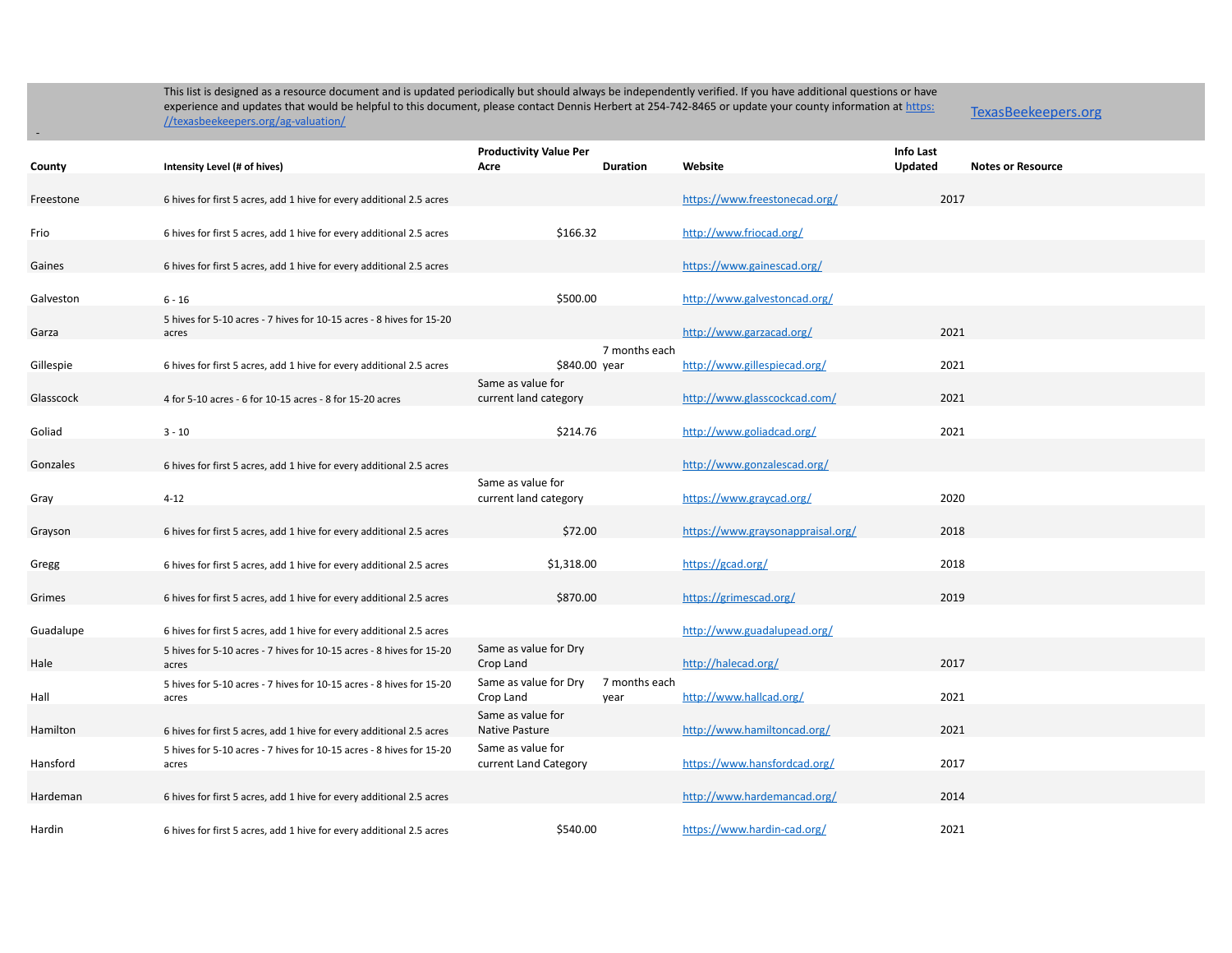TexasBeekeepers.org

| County    | Intensity Level (# of hives)                                                  | <b>Productivity Value Per</b><br>Acre<br><b>Duration</b> | Website                           | Info Last<br>Updated | <b>Notes or Resource</b> |
|-----------|-------------------------------------------------------------------------------|----------------------------------------------------------|-----------------------------------|----------------------|--------------------------|
|           |                                                                               |                                                          |                                   |                      |                          |
| Freestone | 6 hives for first 5 acres, add 1 hive for every additional 2.5 acres          |                                                          | https://www.freestonecad.org/     | 2017                 |                          |
| Frio      | 6 hives for first 5 acres, add 1 hive for every additional 2.5 acres          | \$166.32                                                 | http://www.friocad.org/           |                      |                          |
|           |                                                                               |                                                          |                                   |                      |                          |
| Gaines    | 6 hives for first 5 acres, add 1 hive for every additional 2.5 acres          |                                                          | https://www.gainescad.org/        |                      |                          |
| Galveston | $6 - 16$                                                                      | \$500.00                                                 | http://www.galvestoncad.org/      |                      |                          |
| Garza     | 5 hives for 5-10 acres - 7 hives for 10-15 acres - 8 hives for 15-20<br>acres |                                                          | http://www.garzacad.org/          | 2021                 |                          |
|           |                                                                               | 7 months each                                            |                                   |                      |                          |
| Gillespie | 6 hives for first 5 acres, add 1 hive for every additional 2.5 acres          | \$840.00 year                                            | http://www.gillespiecad.org/      | 2021                 |                          |
| Glasscock | 4 for 5-10 acres - 6 for 10-15 acres - 8 for 15-20 acres                      | Same as value for<br>current land category               | http://www.glasscockcad.com/      | 2021                 |                          |
|           |                                                                               |                                                          |                                   |                      |                          |
| Goliad    | $3 - 10$                                                                      | \$214.76                                                 | http://www.goliadcad.org/         | 2021                 |                          |
| Gonzales  | 6 hives for first 5 acres, add 1 hive for every additional 2.5 acres          |                                                          | http://www.gonzalescad.org/       |                      |                          |
|           |                                                                               | Same as value for                                        |                                   |                      |                          |
| Gray      | $4 - 12$                                                                      | current land category                                    | https://www.graycad.org/          | 2020                 |                          |
| Grayson   | 6 hives for first 5 acres, add 1 hive for every additional 2.5 acres          | \$72.00                                                  | https://www.graysonappraisal.org/ | 2018                 |                          |
|           |                                                                               |                                                          |                                   |                      |                          |
| Gregg     | 6 hives for first 5 acres, add 1 hive for every additional 2.5 acres          | \$1,318.00                                               | https://gcad.org/                 | 2018                 |                          |
| Grimes    | 6 hives for first 5 acres, add 1 hive for every additional 2.5 acres          | \$870.00                                                 | https://grimescad.org/            | 2019                 |                          |
|           |                                                                               |                                                          |                                   |                      |                          |
| Guadalupe | 6 hives for first 5 acres, add 1 hive for every additional 2.5 acres          |                                                          | http://www.guadalupead.org/       |                      |                          |
| Hale      | 5 hives for 5-10 acres - 7 hives for 10-15 acres - 8 hives for 15-20<br>acres | Same as value for Dry<br>Crop Land                       | http://halecad.org/               | 2017                 |                          |
|           | 5 hives for 5-10 acres - 7 hives for 10-15 acres - 8 hives for 15-20          | 7 months each<br>Same as value for Dry                   |                                   |                      |                          |
| Hall      | acres                                                                         | Crop Land<br>year                                        | http://www.hallcad.org/           | 2021                 |                          |
| Hamilton  | 6 hives for first 5 acres, add 1 hive for every additional 2.5 acres          | Same as value for<br><b>Native Pasture</b>               | http://www.hamiltoncad.org/       | 2021                 |                          |
|           | 5 hives for 5-10 acres - 7 hives for 10-15 acres - 8 hives for 15-20          | Same as value for                                        |                                   |                      |                          |
| Hansford  | acres                                                                         | current Land Category                                    | https://www.hansfordcad.org/      | 2017                 |                          |
| Hardeman  | 6 hives for first 5 acres, add 1 hive for every additional 2.5 acres          |                                                          | http://www.hardemancad.org/       | 2014                 |                          |
|           |                                                                               |                                                          |                                   |                      |                          |
| Hardin    | 6 hives for first 5 acres, add 1 hive for every additional 2.5 acres          | \$540.00                                                 | https://www.hardin-cad.org/       | 2021                 |                          |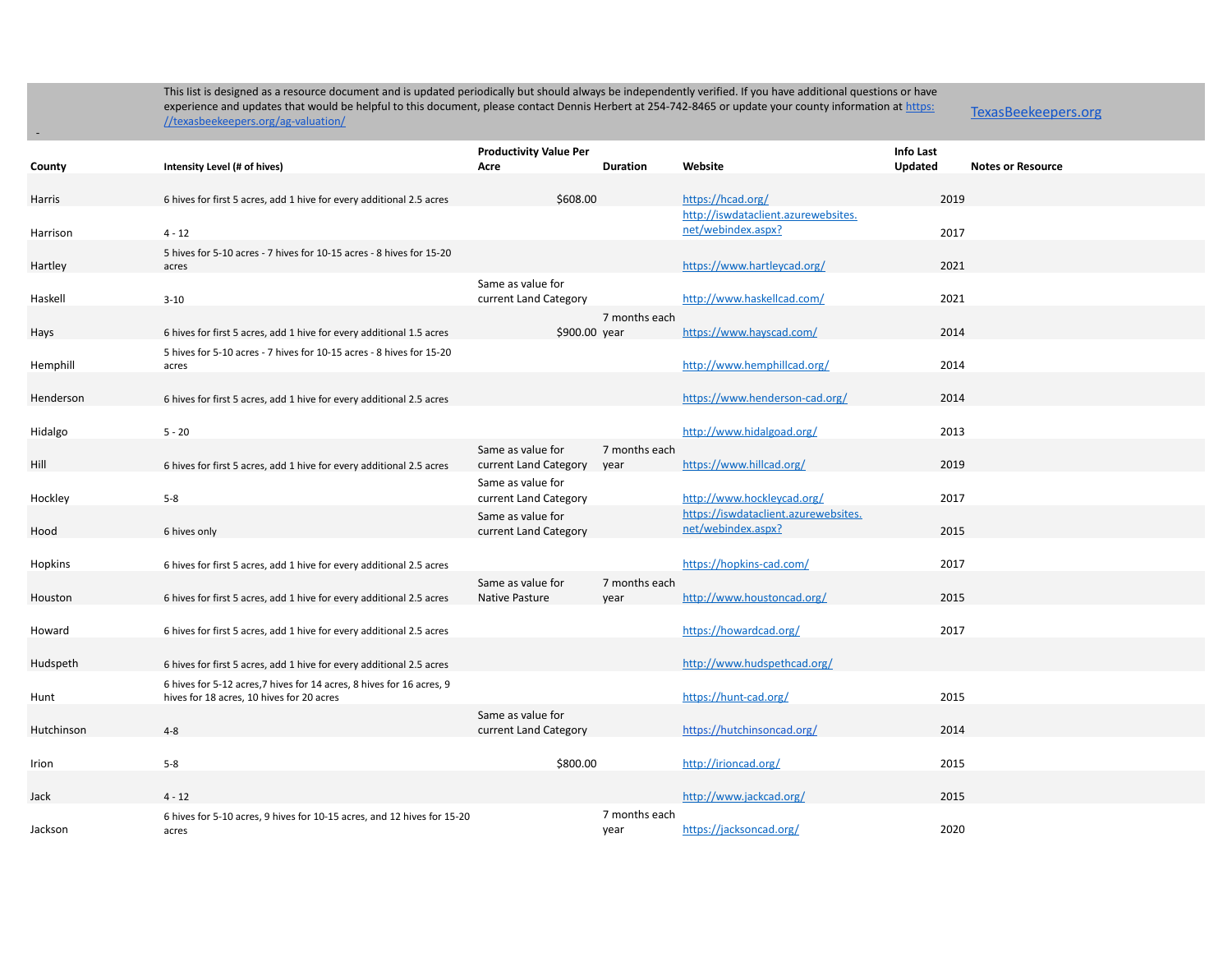TexasBeekeepers.org

|            |                                                                         | <b>Productivity Value Per</b> |                 |                                      | <b>Info Last</b> |                          |
|------------|-------------------------------------------------------------------------|-------------------------------|-----------------|--------------------------------------|------------------|--------------------------|
| County     | Intensity Level (# of hives)                                            | Acre                          | <b>Duration</b> | Website                              | <b>Updated</b>   | <b>Notes or Resource</b> |
|            |                                                                         |                               |                 |                                      |                  |                          |
| Harris     | 6 hives for first 5 acres, add 1 hive for every additional 2.5 acres    | \$608.00                      |                 | https://hcad.org/                    | 2019             |                          |
|            |                                                                         |                               |                 | http://iswdataclient.azurewebsites.  |                  |                          |
| Harrison   | $4 - 12$                                                                |                               |                 | net/webindex.aspx?                   | 2017             |                          |
|            | 5 hives for 5-10 acres - 7 hives for 10-15 acres - 8 hives for 15-20    |                               |                 |                                      |                  |                          |
| Hartley    | acres                                                                   |                               |                 | https://www.hartleycad.org/          | 2021             |                          |
|            |                                                                         | Same as value for             |                 |                                      |                  |                          |
| Haskell    | $3 - 10$                                                                | current Land Category         |                 | http://www.haskellcad.com/           | 2021             |                          |
|            |                                                                         |                               | 7 months each   |                                      |                  |                          |
| Hays       | 6 hives for first 5 acres, add 1 hive for every additional 1.5 acres    | \$900.00 year                 |                 | https://www.hayscad.com/             | 2014             |                          |
|            | 5 hives for 5-10 acres - 7 hives for 10-15 acres - 8 hives for 15-20    |                               |                 |                                      |                  |                          |
| Hemphill   | acres                                                                   |                               |                 | http://www.hemphillcad.org/          | 2014             |                          |
|            |                                                                         |                               |                 |                                      |                  |                          |
| Henderson  | 6 hives for first 5 acres, add 1 hive for every additional 2.5 acres    |                               |                 | https://www.henderson-cad.org/       | 2014             |                          |
|            |                                                                         |                               |                 |                                      |                  |                          |
| Hidalgo    | $5 - 20$                                                                |                               |                 | http://www.hidalgoad.org/            | 2013             |                          |
|            |                                                                         | Same as value for             | 7 months each   |                                      |                  |                          |
| Hill       | 6 hives for first 5 acres, add 1 hive for every additional 2.5 acres    | current Land Category         | year            | https://www.hillcad.org/             | 2019             |                          |
|            |                                                                         | Same as value for             |                 |                                      |                  |                          |
| Hockley    | $5 - 8$                                                                 | current Land Category         |                 | http://www.hockleycad.org/           | 2017             |                          |
|            |                                                                         | Same as value for             |                 | https://iswdataclient.azurewebsites. |                  |                          |
| Hood       | 6 hives only                                                            | current Land Category         |                 | net/webindex.aspx?                   | 2015             |                          |
|            |                                                                         |                               |                 |                                      |                  |                          |
| Hopkins    | 6 hives for first 5 acres, add 1 hive for every additional 2.5 acres    |                               |                 | https://hopkins-cad.com/             | 2017             |                          |
|            |                                                                         | Same as value for             | 7 months each   |                                      |                  |                          |
| Houston    | 6 hives for first 5 acres, add 1 hive for every additional 2.5 acres    | Native Pasture                | year            | http://www.houstoncad.org/           | 2015             |                          |
|            |                                                                         |                               |                 |                                      |                  |                          |
| Howard     | 6 hives for first 5 acres, add 1 hive for every additional 2.5 acres    |                               |                 | https://howardcad.org/               | 2017             |                          |
|            |                                                                         |                               |                 |                                      |                  |                          |
| Hudspeth   | 6 hives for first 5 acres, add 1 hive for every additional 2.5 acres    |                               |                 | http://www.hudspethcad.org/          |                  |                          |
|            | 6 hives for 5-12 acres, 7 hives for 14 acres, 8 hives for 16 acres, 9   |                               |                 |                                      |                  |                          |
| Hunt       | hives for 18 acres, 10 hives for 20 acres                               |                               |                 | https://hunt-cad.org/                | 2015             |                          |
|            |                                                                         | Same as value for             |                 |                                      |                  |                          |
| Hutchinson | $4 - 8$                                                                 | current Land Category         |                 | https://hutchinsoncad.org/           | 2014             |                          |
|            |                                                                         |                               |                 |                                      |                  |                          |
| Irion      | $5 - 8$                                                                 | \$800.00                      |                 | http://irioncad.org/                 | 2015             |                          |
|            |                                                                         |                               |                 |                                      |                  |                          |
| Jack       | $4 - 12$                                                                |                               |                 | http://www.jackcad.org/              | 2015             |                          |
|            | 6 hives for 5-10 acres, 9 hives for 10-15 acres, and 12 hives for 15-20 |                               | 7 months each   |                                      |                  |                          |
| Jackson    | acres                                                                   |                               | year            | https://jacksoncad.org/              | 2020             |                          |
|            |                                                                         |                               |                 |                                      |                  |                          |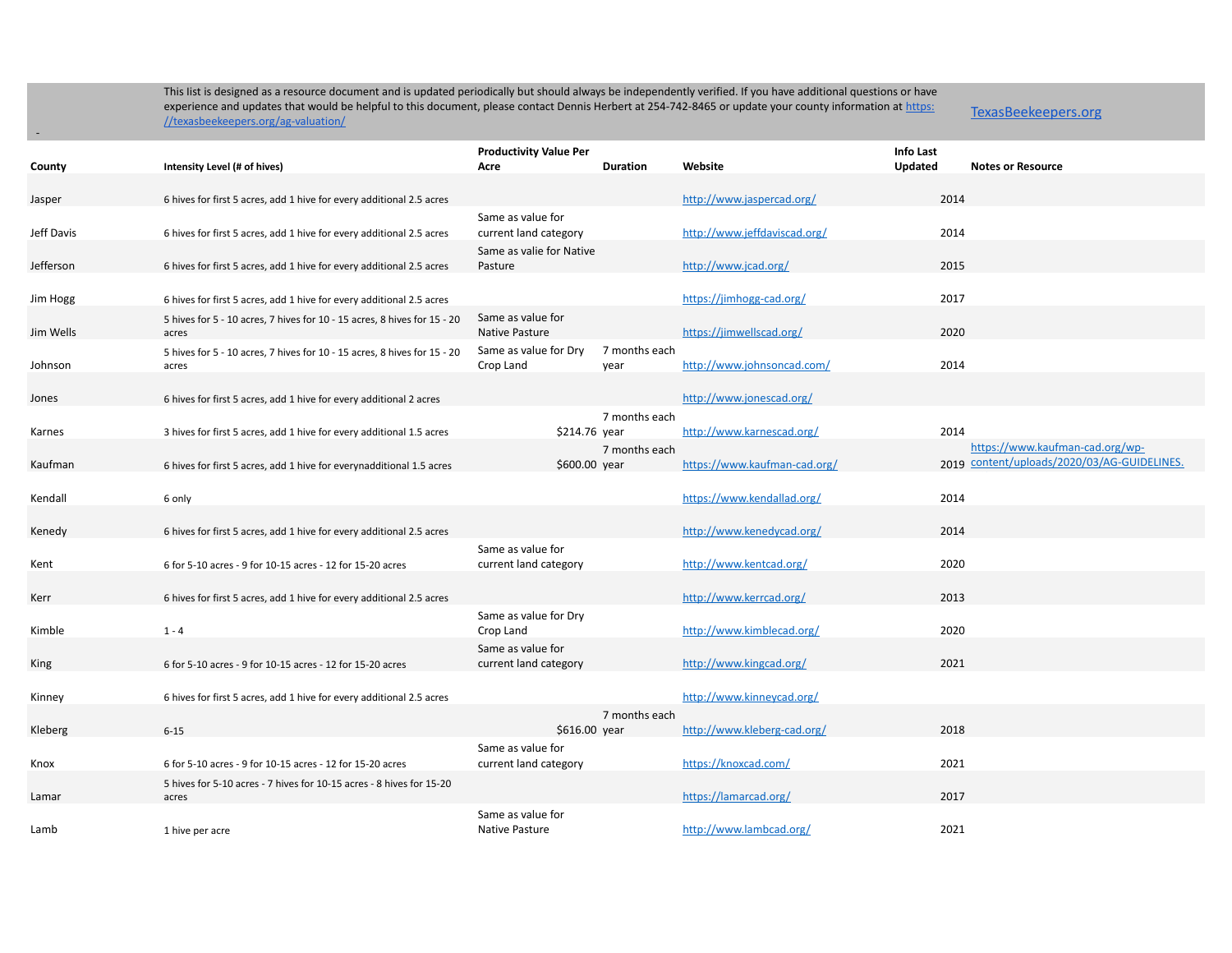-

|            |                                                                          | <b>Productivity Value Per</b>      |                 |                              | <b>Info Last</b> |                                             |
|------------|--------------------------------------------------------------------------|------------------------------------|-----------------|------------------------------|------------------|---------------------------------------------|
| County     | Intensity Level (# of hives)                                             | Acre                               | <b>Duration</b> | Website                      | Updated          | <b>Notes or Resource</b>                    |
|            |                                                                          |                                    |                 |                              |                  |                                             |
| Jasper     | 6 hives for first 5 acres, add 1 hive for every additional 2.5 acres     |                                    |                 | http://www.jaspercad.org/    | 2014             |                                             |
|            |                                                                          | Same as value for                  |                 |                              |                  |                                             |
| Jeff Davis | 6 hives for first 5 acres, add 1 hive for every additional 2.5 acres     | current land category              |                 | http://www.jeffdaviscad.org/ | 2014             |                                             |
|            |                                                                          | Same as valie for Native           |                 |                              |                  |                                             |
| Jefferson  | 6 hives for first 5 acres, add 1 hive for every additional 2.5 acres     | Pasture                            |                 | http://www.jcad.org/         | 2015             |                                             |
|            |                                                                          |                                    |                 |                              |                  |                                             |
| Jim Hogg   | 6 hives for first 5 acres, add 1 hive for every additional 2.5 acres     |                                    |                 | https://jimhogg-cad.org/     | 2017             |                                             |
|            | 5 hives for 5 - 10 acres, 7 hives for 10 - 15 acres, 8 hives for 15 - 20 | Same as value for                  |                 |                              |                  |                                             |
| Jim Wells  | acres                                                                    | Native Pasture                     |                 | https://jimwellscad.org/     | 2020             |                                             |
|            | 5 hives for 5 - 10 acres, 7 hives for 10 - 15 acres, 8 hives for 15 - 20 | Same as value for Dry              | 7 months each   |                              |                  |                                             |
| Johnson    | acres                                                                    | Crop Land                          | year            | http://www.johnsoncad.com/   | 2014             |                                             |
|            |                                                                          |                                    |                 |                              |                  |                                             |
| Jones      | 6 hives for first 5 acres, add 1 hive for every additional 2 acres       |                                    |                 | http://www.jonescad.org/     |                  |                                             |
|            |                                                                          |                                    | 7 months each   |                              |                  |                                             |
| Karnes     | 3 hives for first 5 acres, add 1 hive for every additional 1.5 acres     | \$214.76 year                      |                 | http://www.karnescad.org/    | 2014             |                                             |
|            |                                                                          |                                    | 7 months each   |                              |                  | https://www.kaufman-cad.org/wp-             |
| Kaufman    | 6 hives for first 5 acres, add 1 hive for everynadditional 1.5 acres     | \$600.00 year                      |                 | https://www.kaufman-cad.org/ |                  | 2019 content/uploads/2020/03/AG-GUIDELINES. |
|            |                                                                          |                                    |                 |                              |                  |                                             |
| Kendall    | 6 only                                                                   |                                    |                 | https://www.kendallad.org/   | 2014             |                                             |
|            |                                                                          |                                    |                 |                              |                  |                                             |
| Kenedy     | 6 hives for first 5 acres, add 1 hive for every additional 2.5 acres     |                                    |                 | http://www.kenedycad.org/    | 2014             |                                             |
|            |                                                                          | Same as value for                  |                 |                              |                  |                                             |
| Kent       | 6 for 5-10 acres - 9 for 10-15 acres - 12 for 15-20 acres                | current land category              |                 | http://www.kentcad.org/      | 2020             |                                             |
|            |                                                                          |                                    |                 |                              | 2013             |                                             |
| Kerr       | 6 hives for first 5 acres, add 1 hive for every additional 2.5 acres     |                                    |                 | http://www.kerrcad.org/      |                  |                                             |
| Kimble     | $1 - 4$                                                                  | Same as value for Dry<br>Crop Land |                 | http://www.kimblecad.org/    | 2020             |                                             |
|            |                                                                          | Same as value for                  |                 |                              |                  |                                             |
| King       | 6 for 5-10 acres - 9 for 10-15 acres - 12 for 15-20 acres                | current land category              |                 | http://www.kingcad.org/      | 2021             |                                             |
|            |                                                                          |                                    |                 |                              |                  |                                             |
| Kinney     | 6 hives for first 5 acres, add 1 hive for every additional 2.5 acres     |                                    |                 | http://www.kinneycad.org/    |                  |                                             |
|            |                                                                          |                                    | 7 months each   |                              |                  |                                             |
| Kleberg    | $6 - 15$                                                                 | \$616.00 year                      |                 | http://www.kleberg-cad.org/  | 2018             |                                             |
|            |                                                                          | Same as value for                  |                 |                              |                  |                                             |
| Knox       | 6 for 5-10 acres - 9 for 10-15 acres - 12 for 15-20 acres                | current land category              |                 | https://knoxcad.com/         | 2021             |                                             |
|            | 5 hives for 5-10 acres - 7 hives for 10-15 acres - 8 hives for 15-20     |                                    |                 |                              |                  |                                             |
| Lamar      | acres                                                                    |                                    |                 | https://lamarcad.org/        | 2017             |                                             |
|            |                                                                          | Same as value for                  |                 |                              |                  |                                             |
| Lamb       | 1 hive per acre                                                          | Native Pasture                     |                 | http://www.lambcad.org/      | 2021             |                                             |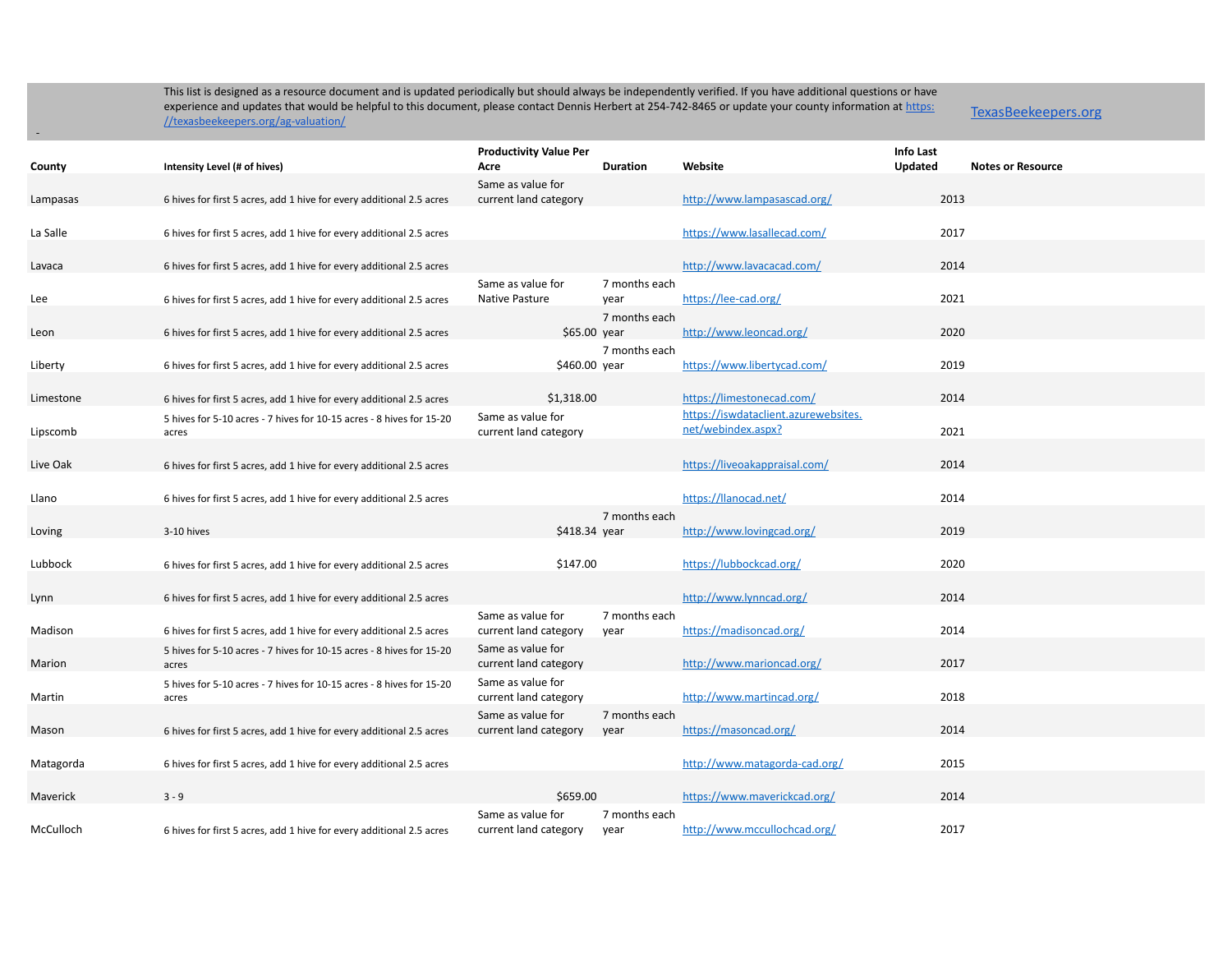TexasBeekeepers.org

| County    | Intensity Level (# of hives)                                                  | <b>Productivity Value Per</b><br>Acre      | <b>Duration</b>       | Website                                                    | <b>Info Last</b><br>Updated | <b>Notes or Resource</b> |
|-----------|-------------------------------------------------------------------------------|--------------------------------------------|-----------------------|------------------------------------------------------------|-----------------------------|--------------------------|
| Lampasas  | 6 hives for first 5 acres, add 1 hive for every additional 2.5 acres          | Same as value for<br>current land category |                       | http://www.lampasascad.org/                                | 2013                        |                          |
| La Salle  | 6 hives for first 5 acres, add 1 hive for every additional 2.5 acres          |                                            |                       | https://www.lasallecad.com/                                | 2017                        |                          |
| Lavaca    | 6 hives for first 5 acres, add 1 hive for every additional 2.5 acres          |                                            |                       | http://www.lavacacad.com/                                  | 2014                        |                          |
| Lee       | 6 hives for first 5 acres, add 1 hive for every additional 2.5 acres          | Same as value for<br>Native Pasture        | 7 months each<br>year | https://lee-cad.org/                                       | 2021                        |                          |
| Leon      | 6 hives for first 5 acres, add 1 hive for every additional 2.5 acres          | \$65.00 year                               | 7 months each         | http://www.leoncad.org/                                    | 2020                        |                          |
| Liberty   | 6 hives for first 5 acres, add 1 hive for every additional 2.5 acres          | \$460.00 year                              | 7 months each         | https://www.libertycad.com/                                | 2019                        |                          |
| Limestone | 6 hives for first 5 acres, add 1 hive for every additional 2.5 acres          | \$1,318.00                                 |                       | https://limestonecad.com/                                  | 2014                        |                          |
| Lipscomb  | 5 hives for 5-10 acres - 7 hives for 10-15 acres - 8 hives for 15-20<br>acres | Same as value for<br>current land category |                       | https://iswdataclient.azurewebsites.<br>net/webindex.aspx? | 2021                        |                          |
| Live Oak  | 6 hives for first 5 acres, add 1 hive for every additional 2.5 acres          |                                            |                       | https://liveoakappraisal.com/                              | 2014                        |                          |
| Llano     | 6 hives for first 5 acres, add 1 hive for every additional 2.5 acres          |                                            |                       | https://llanocad.net/                                      | 2014                        |                          |
| Loving    | 3-10 hives                                                                    | \$418.34 year                              | 7 months each         | http://www.lovingcad.org/                                  | 2019                        |                          |
| Lubbock   | 6 hives for first 5 acres, add 1 hive for every additional 2.5 acres          | \$147.00                                   |                       | https://lubbockcad.org/                                    | 2020                        |                          |
| Lynn      | 6 hives for first 5 acres, add 1 hive for every additional 2.5 acres          |                                            |                       | http://www.lynncad.org/                                    | 2014                        |                          |
| Madison   | 6 hives for first 5 acres, add 1 hive for every additional 2.5 acres          | Same as value for<br>current land category | 7 months each<br>year | https://madisoncad.org/                                    | 2014                        |                          |
| Marion    | 5 hives for 5-10 acres - 7 hives for 10-15 acres - 8 hives for 15-20<br>acres | Same as value for<br>current land category |                       | http://www.marioncad.org/                                  | 2017                        |                          |
| Martin    | 5 hives for 5-10 acres - 7 hives for 10-15 acres - 8 hives for 15-20<br>acres | Same as value for<br>current land category |                       | http://www.martincad.org/                                  | 2018                        |                          |
| Mason     | 6 hives for first 5 acres, add 1 hive for every additional 2.5 acres          | Same as value for<br>current land category | 7 months each<br>year | https://masoncad.org/                                      | 2014                        |                          |
| Matagorda | 6 hives for first 5 acres, add 1 hive for every additional 2.5 acres          |                                            |                       | http://www.matagorda-cad.org/                              | 2015                        |                          |
| Maverick  | $3 - 9$                                                                       | \$659.00                                   |                       | https://www.maverickcad.org/                               | 2014                        |                          |
| McCulloch | 6 hives for first 5 acres, add 1 hive for every additional 2.5 acres          | Same as value for<br>current land category | 7 months each<br>year | http://www.mccullochcad.org/                               | 2017                        |                          |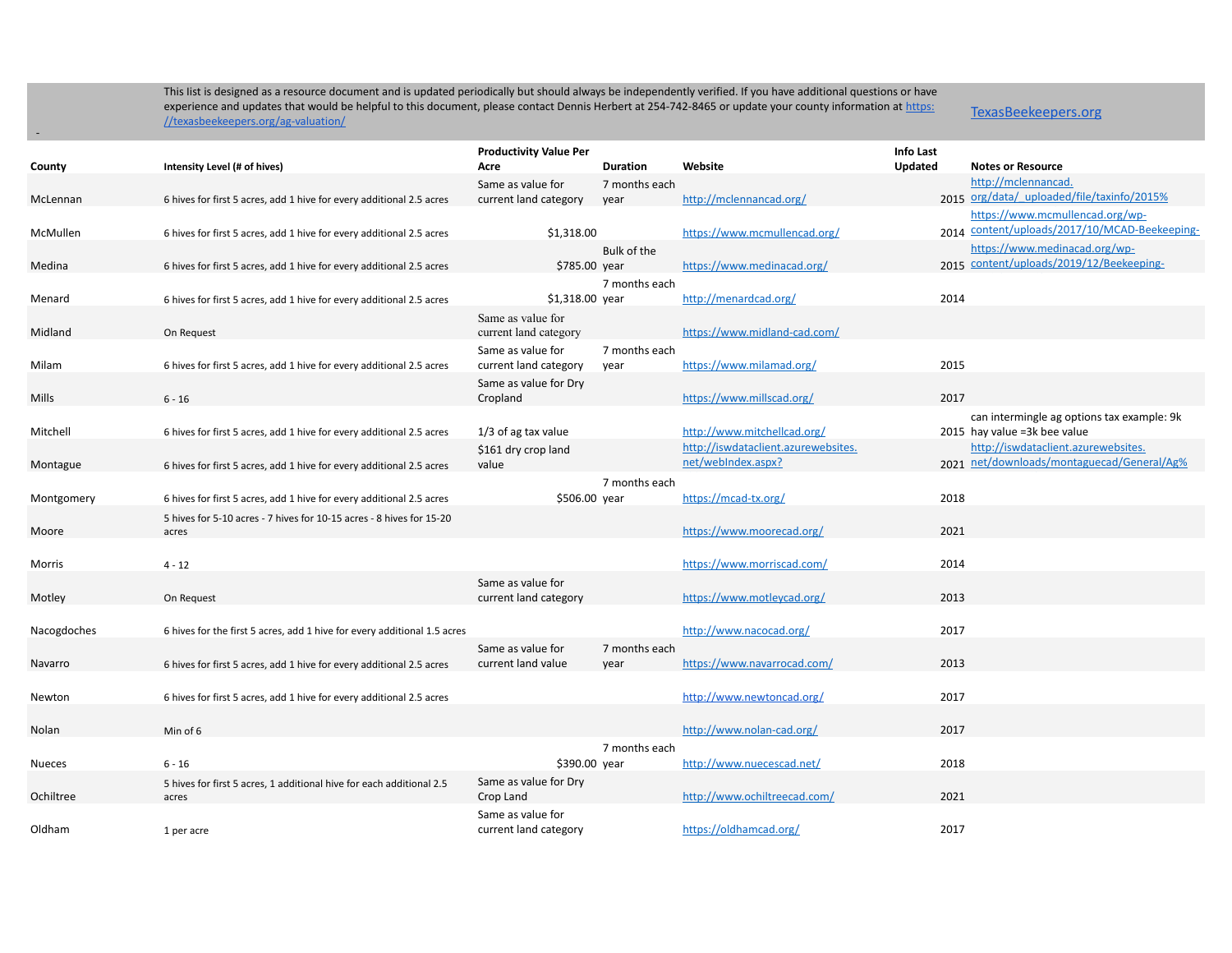TexasBeekeepers.org

|               |                                                                               | <b>Productivity Value Per</b>              |                       |                                     | <b>Info Last</b> |                                                                           |
|---------------|-------------------------------------------------------------------------------|--------------------------------------------|-----------------------|-------------------------------------|------------------|---------------------------------------------------------------------------|
| County        | Intensity Level (# of hives)                                                  | Acre                                       | <b>Duration</b>       | Website                             | Updated          | <b>Notes or Resource</b>                                                  |
|               |                                                                               | Same as value for                          | 7 months each         |                                     |                  | http://mclennancad.                                                       |
| McLennan      | 6 hives for first 5 acres, add 1 hive for every additional 2.5 acres          | current land category                      | year                  | http://mclennancad.org/             |                  | 2015 org/data/_uploaded/file/taxinfo/2015%                                |
|               |                                                                               |                                            |                       |                                     |                  | https://www.mcmullencad.org/wp-                                           |
| McMullen      | 6 hives for first 5 acres, add 1 hive for every additional 2.5 acres          | \$1,318.00                                 |                       | https://www.mcmullencad.org/        |                  | 2014 content/uploads/2017/10/MCAD-Beekeeping-                             |
|               |                                                                               |                                            | Bulk of the           |                                     |                  | https://www.medinacad.org/wp-<br>2015 content/uploads/2019/12/Beekeeping- |
| Medina        | 6 hives for first 5 acres, add 1 hive for every additional 2.5 acres          | \$785.00 year                              |                       | https://www.medinacad.org/          |                  |                                                                           |
|               |                                                                               |                                            | 7 months each         |                                     |                  |                                                                           |
| Menard        | 6 hives for first 5 acres, add 1 hive for every additional 2.5 acres          | $$1,318.00$ year                           |                       | http://menardcad.org/               | 2014             |                                                                           |
| Midland       |                                                                               | Same as value for                          |                       | https://www.midland-cad.com/        |                  |                                                                           |
|               | On Request                                                                    | current land category                      |                       |                                     |                  |                                                                           |
| Milam         | 6 hives for first 5 acres, add 1 hive for every additional 2.5 acres          | Same as value for<br>current land category | 7 months each<br>year | https://www.milamad.org/            | 2015             |                                                                           |
|               |                                                                               | Same as value for Dry                      |                       |                                     |                  |                                                                           |
| Mills         | $6 - 16$                                                                      | Cropland                                   |                       | https://www.millscad.org/           | 2017             |                                                                           |
|               |                                                                               |                                            |                       |                                     |                  | can intermingle ag options tax example: 9k                                |
| Mitchell      | 6 hives for first 5 acres, add 1 hive for every additional 2.5 acres          | $1/3$ of ag tax value                      |                       | http://www.mitchellcad.org/         |                  | 2015 hay value =3k bee value                                              |
|               |                                                                               | \$161 dry crop land                        |                       | http://iswdataclient.azurewebsites. |                  | http://iswdataclient.azurewebsites.                                       |
| Montague      | 6 hives for first 5 acres, add 1 hive for every additional 2.5 acres          | value                                      |                       | net/webIndex.aspx?                  |                  | 2021 net/downloads/montaguecad/General/Ag%                                |
|               |                                                                               |                                            | 7 months each         |                                     |                  |                                                                           |
| Montgomery    | 6 hives for first 5 acres, add 1 hive for every additional 2.5 acres          | \$506.00 year                              |                       | https://mcad-tx.org/                | 2018             |                                                                           |
|               | 5 hives for 5-10 acres - 7 hives for 10-15 acres - 8 hives for 15-20          |                                            |                       |                                     |                  |                                                                           |
| Moore         | acres                                                                         |                                            |                       | https://www.moorecad.org/           | 2021             |                                                                           |
|               |                                                                               |                                            |                       |                                     |                  |                                                                           |
| Morris        | $4 - 12$                                                                      |                                            |                       | https://www.morriscad.com/          | 2014             |                                                                           |
|               |                                                                               | Same as value for                          |                       |                                     |                  |                                                                           |
| Motley        | On Request                                                                    | current land category                      |                       | https://www.motleycad.org/          | 2013             |                                                                           |
|               |                                                                               |                                            |                       |                                     |                  |                                                                           |
| Nacogdoches   | 6 hives for the first 5 acres, add 1 hive for every additional 1.5 acres      |                                            |                       | http://www.nacocad.org/             | 2017             |                                                                           |
|               |                                                                               | Same as value for                          | 7 months each         |                                     |                  |                                                                           |
| Navarro       | 6 hives for first 5 acres, add 1 hive for every additional 2.5 acres          | current land value                         | year                  | https://www.navarrocad.com/         | 2013             |                                                                           |
|               |                                                                               |                                            |                       |                                     | 2017             |                                                                           |
| Newton        | 6 hives for first 5 acres, add 1 hive for every additional 2.5 acres          |                                            |                       | http://www.newtoncad.org/           |                  |                                                                           |
| Nolan         | Min of 6                                                                      |                                            |                       | http://www.nolan-cad.org/           | 2017             |                                                                           |
|               |                                                                               |                                            |                       |                                     |                  |                                                                           |
| <b>Nueces</b> | $6 - 16$                                                                      | \$390.00 year                              | 7 months each         | http://www.nuecescad.net/           | 2018             |                                                                           |
|               |                                                                               | Same as value for Dry                      |                       |                                     |                  |                                                                           |
| Ochiltree     | 5 hives for first 5 acres, 1 additional hive for each additional 2.5<br>acres | Crop Land                                  |                       | http://www.ochiltreecad.com/        | 2021             |                                                                           |
|               |                                                                               | Same as value for                          |                       |                                     |                  |                                                                           |
| Oldham        | 1 per acre                                                                    | current land category                      |                       | https://oldhamcad.org/              | 2017             |                                                                           |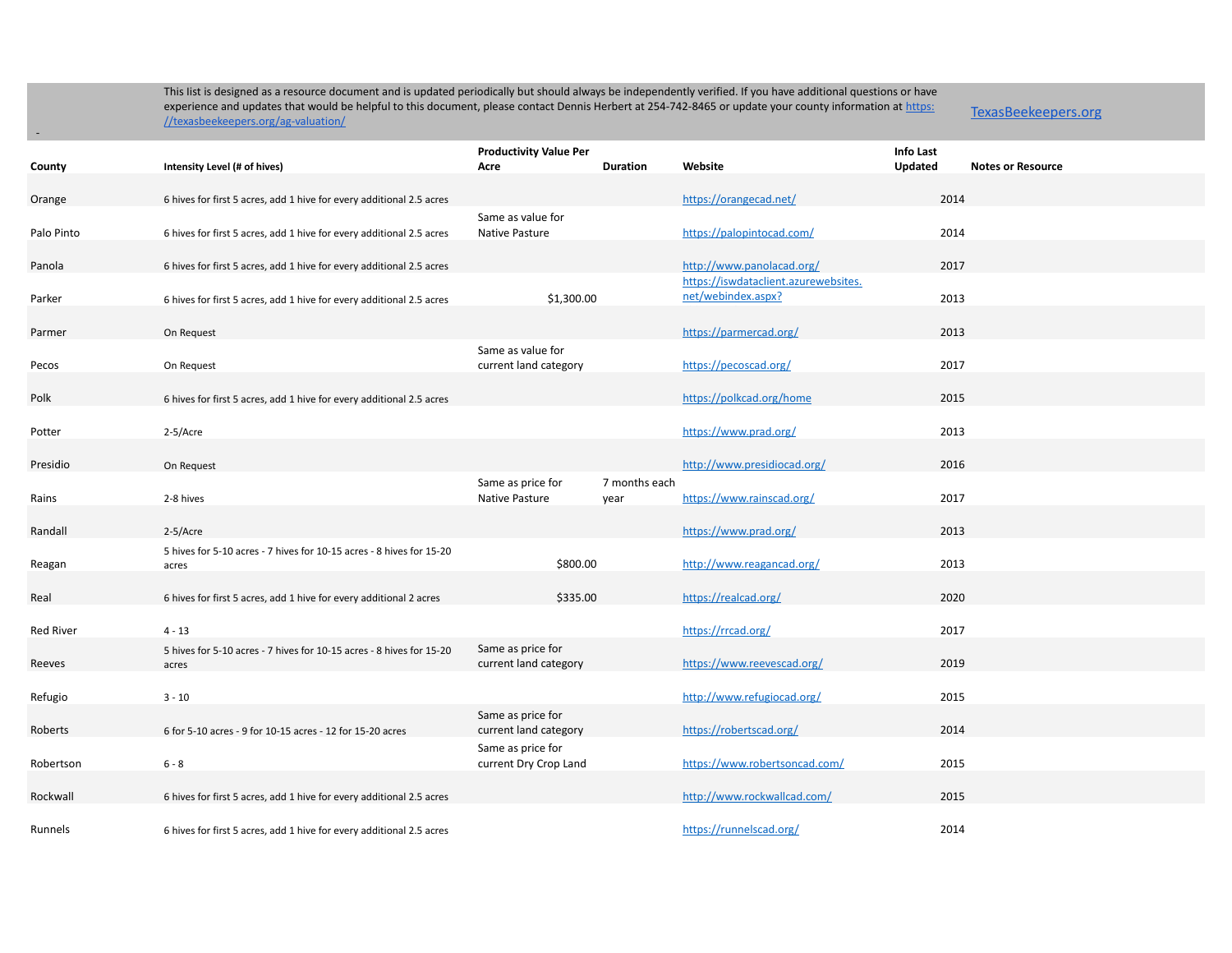-

|                  |                                                                               | <b>Productivity Value Per</b>              |                       |                                                            | Info Last |                          |
|------------------|-------------------------------------------------------------------------------|--------------------------------------------|-----------------------|------------------------------------------------------------|-----------|--------------------------|
| County           | Intensity Level (# of hives)                                                  | Acre                                       | <b>Duration</b>       | Website                                                    | Updated   | <b>Notes or Resource</b> |
| Orange           | 6 hives for first 5 acres, add 1 hive for every additional 2.5 acres          |                                            |                       | https://orangecad.net/                                     | 2014      |                          |
| Palo Pinto       | 6 hives for first 5 acres, add 1 hive for every additional 2.5 acres          | Same as value for<br>Native Pasture        |                       | https://palopintocad.com/                                  | 2014      |                          |
| Panola           | 6 hives for first 5 acres, add 1 hive for every additional 2.5 acres          |                                            |                       | http://www.panolacad.org/                                  | 2017      |                          |
| Parker           | 6 hives for first 5 acres, add 1 hive for every additional 2.5 acres          | \$1,300.00                                 |                       | https://iswdataclient.azurewebsites.<br>net/webindex.aspx? | 2013      |                          |
| Parmer           | On Request                                                                    |                                            |                       | https://parmercad.org/                                     | 2013      |                          |
| Pecos            | On Request                                                                    | Same as value for<br>current land category |                       | https://pecoscad.org/                                      | 2017      |                          |
| Polk             | 6 hives for first 5 acres, add 1 hive for every additional 2.5 acres          |                                            |                       | https://polkcad.org/home                                   | 2015      |                          |
| Potter           | 2-5/Acre                                                                      |                                            |                       | https://www.prad.org/                                      | 2013      |                          |
| Presidio         | On Request                                                                    |                                            |                       | http://www.presidiocad.org/                                | 2016      |                          |
| Rains            | 2-8 hives                                                                     | Same as price for<br>Native Pasture        | 7 months each<br>year | https://www.rainscad.org/                                  | 2017      |                          |
| Randall          | 2-5/Acre                                                                      |                                            |                       | https://www.prad.org/                                      | 2013      |                          |
| Reagan           | 5 hives for 5-10 acres - 7 hives for 10-15 acres - 8 hives for 15-20<br>acres | \$800.00                                   |                       | http://www.reagancad.org/                                  | 2013      |                          |
| Real             | 6 hives for first 5 acres, add 1 hive for every additional 2 acres            | \$335.00                                   |                       | https://realcad.org/                                       | 2020      |                          |
| <b>Red River</b> | $4 - 13$                                                                      |                                            |                       | https://rrcad.org/                                         | 2017      |                          |
| Reeves           | 5 hives for 5-10 acres - 7 hives for 10-15 acres - 8 hives for 15-20<br>acres | Same as price for<br>current land category |                       | https://www.reevescad.org/                                 | 2019      |                          |
| Refugio          | $3 - 10$                                                                      |                                            |                       | http://www.refugiocad.org/                                 | 2015      |                          |
| Roberts          | 6 for 5-10 acres - 9 for 10-15 acres - 12 for 15-20 acres                     | Same as price for<br>current land category |                       | https://robertscad.org/                                    | 2014      |                          |
| Robertson        | $6 - 8$                                                                       | Same as price for<br>current Dry Crop Land |                       | https://www.robertsoncad.com/                              | 2015      |                          |
| Rockwall         | 6 hives for first 5 acres, add 1 hive for every additional 2.5 acres          |                                            |                       | http://www.rockwallcad.com/                                | 2015      |                          |
| Runnels          | 6 hives for first 5 acres, add 1 hive for every additional 2.5 acres          |                                            |                       | https://runnelscad.org/                                    | 2014      |                          |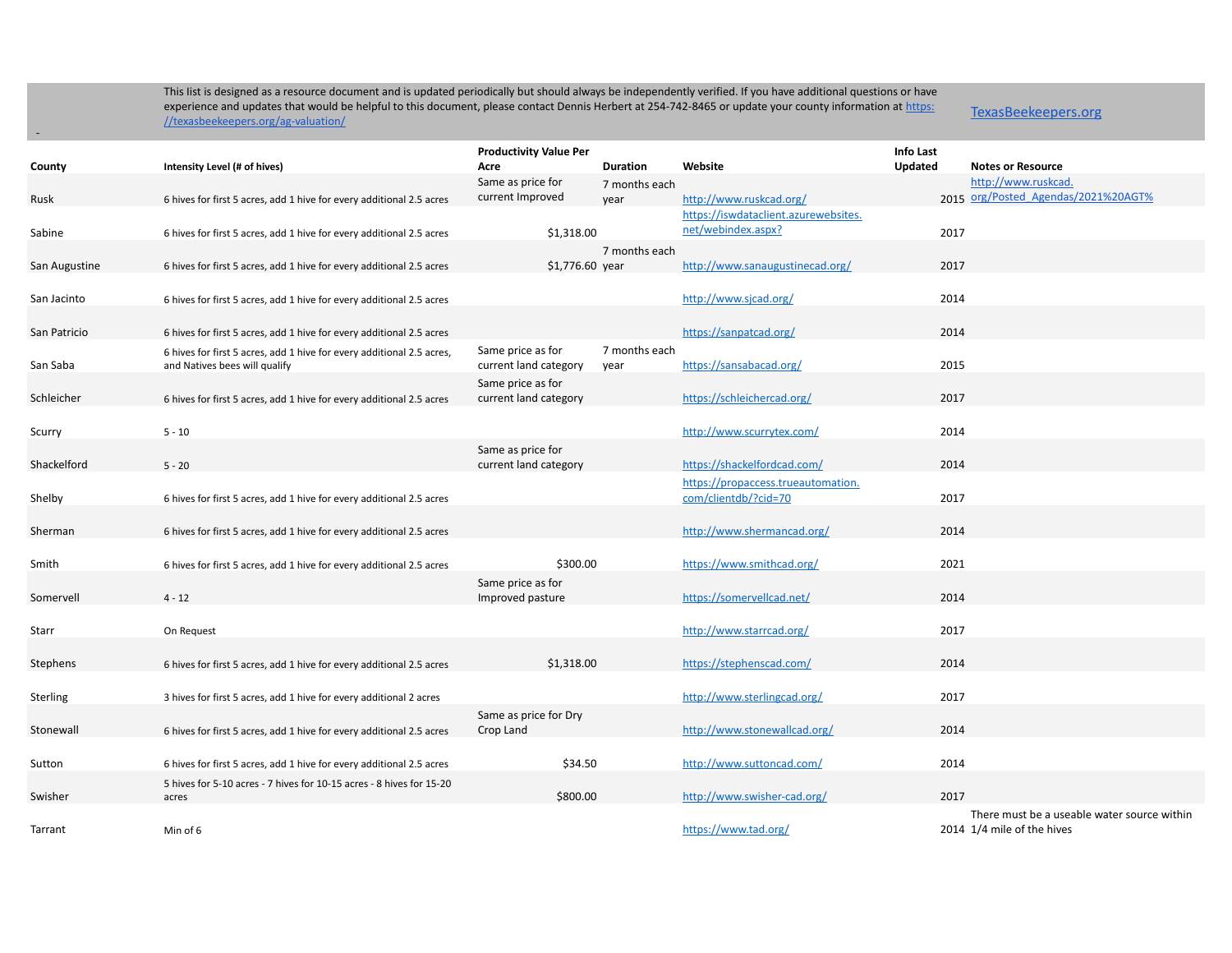TexasBeekeepers.org

|               |                                                                       | <b>Productivity Value Per</b> |                 |                                                            | Info Last      |                                                            |
|---------------|-----------------------------------------------------------------------|-------------------------------|-----------------|------------------------------------------------------------|----------------|------------------------------------------------------------|
| County        | Intensity Level (# of hives)                                          | Acre                          | <b>Duration</b> | Website                                                    | <b>Updated</b> | <b>Notes or Resource</b>                                   |
|               |                                                                       | Same as price for             | 7 months each   |                                                            |                | http://www.ruskcad.<br>2015 org/Posted_Agendas/2021%20AGT% |
| Rusk          | 6 hives for first 5 acres, add 1 hive for every additional 2.5 acres  | current Improved              | year            | http://www.ruskcad.org/                                    |                |                                                            |
|               |                                                                       |                               |                 | https://iswdataclient.azurewebsites.<br>net/webindex.aspx? |                |                                                            |
| Sabine        | 6 hives for first 5 acres, add 1 hive for every additional 2.5 acres  | \$1,318.00                    |                 |                                                            | 2017           |                                                            |
|               |                                                                       |                               | 7 months each   |                                                            | 2017           |                                                            |
| San Augustine | 6 hives for first 5 acres, add 1 hive for every additional 2.5 acres  | $$1,776.60$ year              |                 | http://www.sanaugustinecad.org/                            |                |                                                            |
| San Jacinto   | 6 hives for first 5 acres, add 1 hive for every additional 2.5 acres  |                               |                 | http://www.sjcad.org/                                      | 2014           |                                                            |
|               |                                                                       |                               |                 |                                                            |                |                                                            |
| San Patricio  | 6 hives for first 5 acres, add 1 hive for every additional 2.5 acres  |                               |                 | https://sanpatcad.org/                                     | 2014           |                                                            |
|               | 6 hives for first 5 acres, add 1 hive for every additional 2.5 acres, | Same price as for             | 7 months each   |                                                            |                |                                                            |
| San Saba      | and Natives bees will qualify                                         | current land category         | year            | https://sansabacad.org/                                    | 2015           |                                                            |
|               |                                                                       | Same price as for             |                 |                                                            |                |                                                            |
| Schleicher    | 6 hives for first 5 acres, add 1 hive for every additional 2.5 acres  | current land category         |                 | https://schleichercad.org/                                 | 2017           |                                                            |
|               |                                                                       |                               |                 |                                                            |                |                                                            |
| Scurry        | $5 - 10$                                                              |                               |                 | http://www.scurrytex.com/                                  | 2014           |                                                            |
|               |                                                                       | Same as price for             |                 |                                                            |                |                                                            |
| Shackelford   | $5 - 20$                                                              | current land category         |                 | https://shackelfordcad.com/                                | 2014           |                                                            |
|               |                                                                       |                               |                 | https://propaccess.trueautomation.                         |                |                                                            |
| Shelby        | 6 hives for first 5 acres, add 1 hive for every additional 2.5 acres  |                               |                 | com/clientdb/?cid=70                                       | 2017           |                                                            |
|               |                                                                       |                               |                 |                                                            |                |                                                            |
| Sherman       | 6 hives for first 5 acres, add 1 hive for every additional 2.5 acres  |                               |                 | http://www.shermancad.org/                                 | 2014           |                                                            |
|               |                                                                       |                               |                 |                                                            |                |                                                            |
| Smith         | 6 hives for first 5 acres, add 1 hive for every additional 2.5 acres  | \$300.00                      |                 | https://www.smithcad.org/                                  | 2021           |                                                            |
|               |                                                                       | Same price as for             |                 |                                                            | 2014           |                                                            |
| Somervell     | $4 - 12$                                                              | Improved pasture              |                 | https://somervellcad.net/                                  |                |                                                            |
| Starr         |                                                                       |                               |                 | http://www.starrcad.org/                                   | 2017           |                                                            |
|               | On Request                                                            |                               |                 |                                                            |                |                                                            |
| Stephens      | 6 hives for first 5 acres, add 1 hive for every additional 2.5 acres  | \$1,318.00                    |                 | https://stephenscad.com/                                   | 2014           |                                                            |
|               |                                                                       |                               |                 |                                                            |                |                                                            |
| Sterling      | 3 hives for first 5 acres, add 1 hive for every additional 2 acres    |                               |                 | http://www.sterlingcad.org/                                | 2017           |                                                            |
|               |                                                                       | Same as price for Dry         |                 |                                                            |                |                                                            |
| Stonewall     | 6 hives for first 5 acres, add 1 hive for every additional 2.5 acres  | Crop Land                     |                 | http://www.stonewallcad.org/                               | 2014           |                                                            |
|               |                                                                       |                               |                 |                                                            |                |                                                            |
| Sutton        | 6 hives for first 5 acres, add 1 hive for every additional 2.5 acres  | \$34.50                       |                 | http://www.suttoncad.com/                                  | 2014           |                                                            |
|               | 5 hives for 5-10 acres - 7 hives for 10-15 acres - 8 hives for 15-20  |                               |                 |                                                            |                |                                                            |
| Swisher       | acres                                                                 | \$800.00                      |                 | http://www.swisher-cad.org/                                | 2017           |                                                            |
|               |                                                                       |                               |                 |                                                            |                | There must be a useable water source within                |
| Tarrant       | Min of 6                                                              |                               |                 | https://www.tad.org/                                       |                | 2014 1/4 mile of the hives                                 |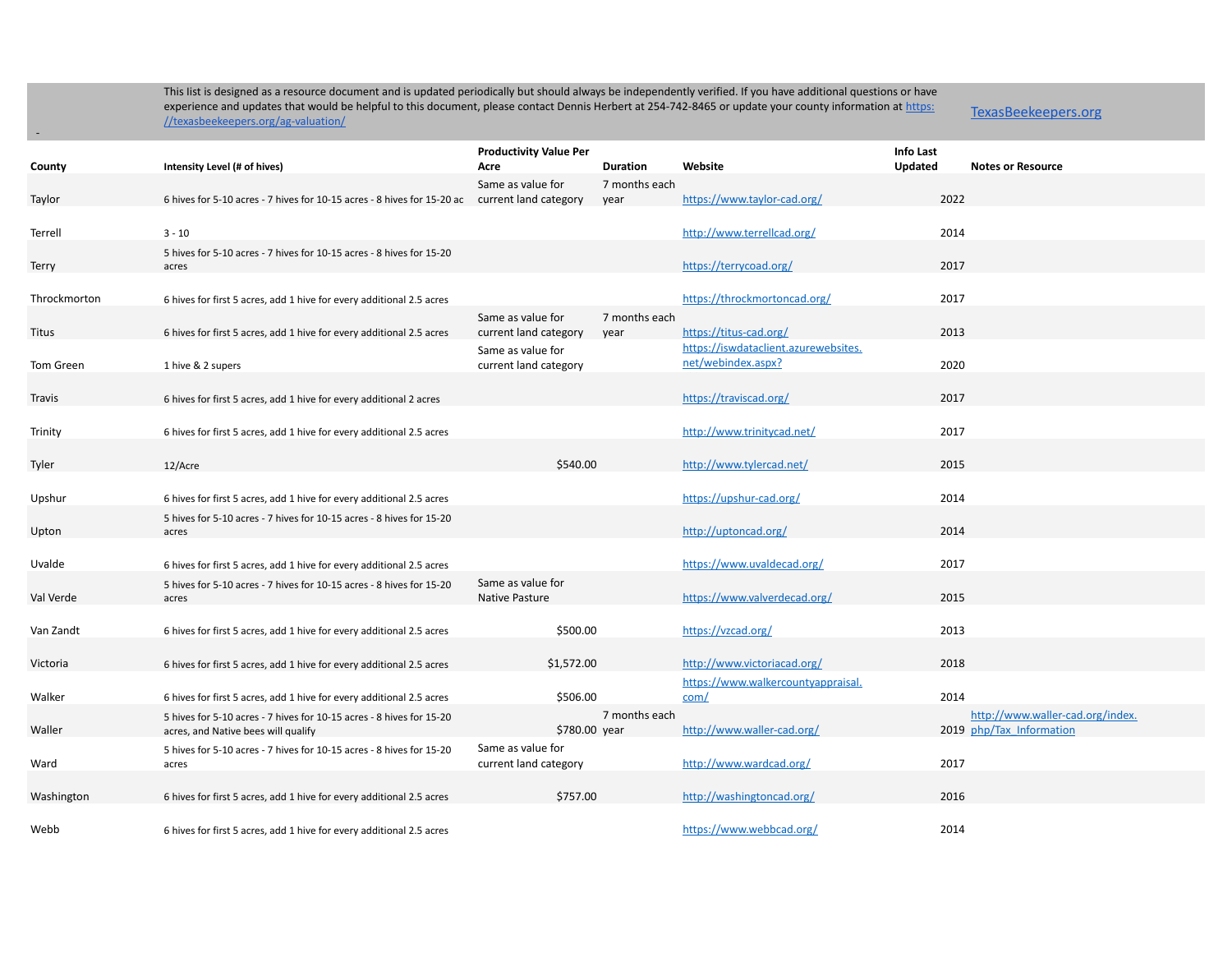-

|              |                                                                         | <b>Productivity Value Per</b>              |                       |                                            | <b>Info Last</b> |                                  |
|--------------|-------------------------------------------------------------------------|--------------------------------------------|-----------------------|--------------------------------------------|------------------|----------------------------------|
| County       | Intensity Level (# of hives)                                            | Acre                                       | <b>Duration</b>       | Website                                    | <b>Updated</b>   | <b>Notes or Resource</b>         |
| Taylor       | 6 hives for 5-10 acres - 7 hives for 10-15 acres - 8 hives for 15-20 ac | Same as value for<br>current land category | 7 months each<br>year | https://www.taylor-cad.org/                | 2022             |                                  |
|              |                                                                         |                                            |                       |                                            |                  |                                  |
| Terrell      | $3 - 10$                                                                |                                            |                       | http://www.terrellcad.org/                 | 2014             |                                  |
|              | 5 hives for 5-10 acres - 7 hives for 10-15 acres - 8 hives for 15-20    |                                            |                       |                                            |                  |                                  |
| Terry        | acres                                                                   |                                            |                       | https://terrycoad.org/                     | 2017             |                                  |
| Throckmorton |                                                                         |                                            |                       | https://throckmortoncad.org/               | 2017             |                                  |
|              | 6 hives for first 5 acres, add 1 hive for every additional 2.5 acres    | Same as value for                          | 7 months each         |                                            |                  |                                  |
| Titus        | 6 hives for first 5 acres, add 1 hive for every additional 2.5 acres    | current land category                      | year                  | https://titus-cad.org/                     | 2013             |                                  |
|              |                                                                         | Same as value for                          |                       | https://iswdataclient.azurewebsites.       |                  |                                  |
| Tom Green    | 1 hive & 2 supers                                                       | current land category                      |                       | net/webindex.aspx?                         | 2020             |                                  |
|              |                                                                         |                                            |                       |                                            |                  |                                  |
| Travis       | 6 hives for first 5 acres, add 1 hive for every additional 2 acres      |                                            |                       | https://traviscad.org/                     | 2017             |                                  |
|              |                                                                         |                                            |                       | http://www.trinitycad.net/                 | 2017             |                                  |
| Trinity      | 6 hives for first 5 acres, add 1 hive for every additional 2.5 acres    |                                            |                       |                                            |                  |                                  |
| Tyler        | 12/Acre                                                                 | \$540.00                                   |                       | http://www.tylercad.net/                   | 2015             |                                  |
|              |                                                                         |                                            |                       |                                            |                  |                                  |
| Upshur       | 6 hives for first 5 acres, add 1 hive for every additional 2.5 acres    |                                            |                       | https://upshur-cad.org/                    | 2014             |                                  |
|              | 5 hives for 5-10 acres - 7 hives for 10-15 acres - 8 hives for 15-20    |                                            |                       |                                            |                  |                                  |
| Upton        | acres                                                                   |                                            |                       | http://uptoncad.org/                       | 2014             |                                  |
| Uvalde       | 6 hives for first 5 acres, add 1 hive for every additional 2.5 acres    |                                            |                       | https://www.uvaldecad.org/                 | 2017             |                                  |
|              | 5 hives for 5-10 acres - 7 hives for 10-15 acres - 8 hives for 15-20    | Same as value for                          |                       |                                            |                  |                                  |
| Val Verde    | acres                                                                   | Native Pasture                             |                       | https://www.valverdecad.org/               | 2015             |                                  |
|              |                                                                         |                                            |                       |                                            |                  |                                  |
| Van Zandt    | 6 hives for first 5 acres, add 1 hive for every additional 2.5 acres    | \$500.00                                   |                       | https://vzcad.org/                         | 2013             |                                  |
|              |                                                                         |                                            |                       |                                            |                  |                                  |
| Victoria     | 6 hives for first 5 acres, add 1 hive for every additional 2.5 acres    | \$1,572.00                                 |                       | http://www.victoriacad.org/                | 2018             |                                  |
| Walker       | 6 hives for first 5 acres, add 1 hive for every additional 2.5 acres    | \$506.00                                   |                       | https://www.walkercountyappraisal.<br>com/ | 2014             |                                  |
|              | 5 hives for 5-10 acres - 7 hives for 10-15 acres - 8 hives for 15-20    |                                            | 7 months each         |                                            |                  | http://www.waller-cad.org/index. |
| Waller       | acres, and Native bees will qualify                                     | \$780.00 year                              |                       | http://www.waller-cad.org/                 |                  | 2019 php/Tax Information         |
|              | 5 hives for 5-10 acres - 7 hives for 10-15 acres - 8 hives for 15-20    | Same as value for                          |                       |                                            |                  |                                  |
| Ward         | acres                                                                   | current land category                      |                       | http://www.wardcad.org/                    | 2017             |                                  |
|              |                                                                         |                                            |                       |                                            |                  |                                  |
| Washington   | 6 hives for first 5 acres, add 1 hive for every additional 2.5 acres    | \$757.00                                   |                       | http://washingtoncad.org/                  | 2016             |                                  |
| Webb         | 6 hives for first 5 acres, add 1 hive for every additional 2.5 acres    |                                            |                       | https://www.webbcad.org/                   | 2014             |                                  |
|              |                                                                         |                                            |                       |                                            |                  |                                  |